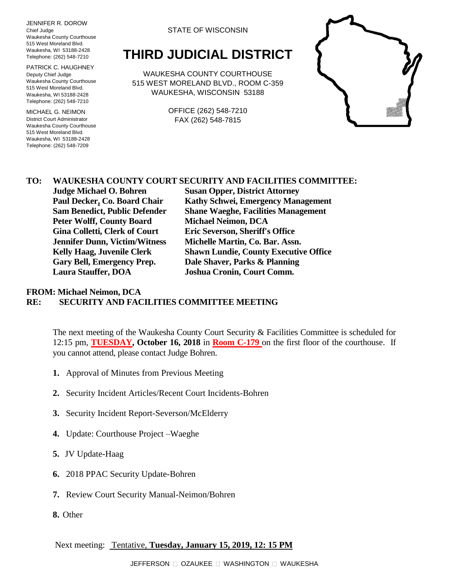JENNIFER R. DOROW Chief Judge Waukesha County Courthouse 515 West Moreland Blvd. Waukesha, WI 53188-2428 Telephone: (262) 548-7210

PATRICK C. HAUGHNEY Deputy Chief Judge Waukesha County Courthouse 515 West Moreland Blvd. Waukesha, WI 53188-2428 Telephone: (262) 548-7210

MICHAEL G. NEIMON District Court Administrator Waukesha County Courthouse 515 West Moreland Blvd. Waukesha, WI 53188-2428 Telephone: (262) 548-7209

#### STATE OF WISCONSIN

# **THIRD JUDICIAL DISTRICT**

WAUKESHA COUNTY COURTHOUSE 515 WEST MORELAND BLVD., ROOM C-359 WAUKESHA, WISCONSIN 53188

> OFFICE (262) 548-7210 FAX (262) 548-7815



# **TO: WAUKESHA COUNTY COURT SECURITY AND FACILITIES COMMITTEE:**

**Peter Wolff, County Board Michael Neimon, DCA Gina Colletti, Clerk of Court Eric Severson, Sheriff's Office Gary Bell, Emergency Prep. Dale Shaver, Parks & Planning Laura Stauffer, DOA Joshua Cronin, Court Comm.**

**Judge Michael O. Bohren Susan Opper, District Attorney Paul Decker, Co. Board Chair Kathy Schwei, Emergency Management Sam Benedict, Public Defender Shane Waeghe, Facilities Management Jennifer Dunn, Victim/Witness Michelle Martin, Co. Bar. Assn. Kelly Haag, Juvenile Clerk Shawn Lundie, County Executive Office**

## **FROM: Michael Neimon, DCA RE: SECURITY AND FACILITIES COMMITTEE MEETING**

The next meeting of the Waukesha County Court Security & Facilities Committee is scheduled for 12:15 pm, **TUESDAY, October 16, 2018** in **Room C-179** on the first floor of the courthouse. If you cannot attend, please contact Judge Bohren.

- **1.** Approval of Minutes from Previous Meeting
- **2.** Security Incident Articles/Recent Court Incidents-Bohren
- **3.** Security Incident Report-Severson/McElderry
- **4.** Update: Courthouse Project –Waeghe
- **5.** JV Update-Haag
- **6.** 2018 PPAC Security Update-Bohren
- **7.** Review Court Security Manual-Neimon/Bohren
- **8.** Other

### Next meeting: Tentative, **Tuesday, January 15, 2019, 12: 15 PM**